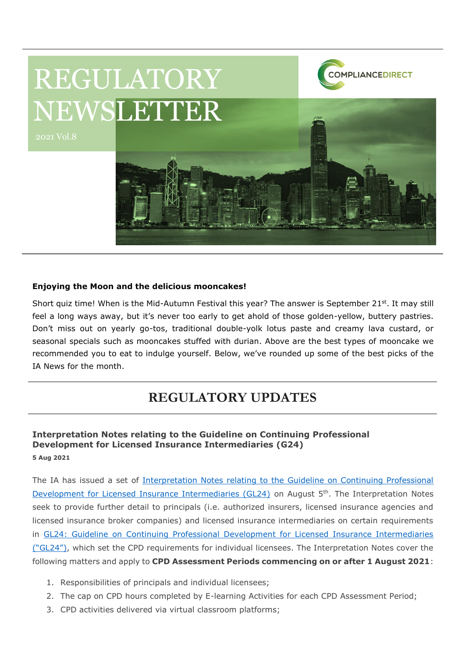

## **Enjoying the Moon and the delicious mooncakes!**

Short quiz time! When is the Mid-Autumn Festival this year? The answer is September 21<sup>st</sup>. It may still feel a long ways away, but it's never too early to get ahold of those golden-yellow, buttery pastries. Don't miss out on yearly go-tos, traditional double-yolk lotus paste and creamy lava custard, or seasonal specials such as mooncakes stuffed with durian. Above are the best types of mooncake we recommended you to eat to indulge yourself. Below, we've rounded up some of the best picks of the IA News for the month.

## **REGULATORY UPDATES**

## **Interpretation Notes relating to the Guideline on Continuing Professional Development for Licensed Insurance Intermediaries (G24) 5 Aug 2021**

The IA has issued a set of [Interpretation Notes relating to the Guideline on Continuing Professional](https://www.ia.org.hk/en/legislative_framework/files/Interpretation_Notes_eng.pdf)  [Development for Licensed Insurance Intermediaries \(GL24\)](https://www.ia.org.hk/en/legislative_framework/files/Interpretation_Notes_eng.pdf) on August 5<sup>th</sup>. The Interpretation Notes seek to provide further detail to principals (i.e. authorized insurers, licensed insurance agencies and licensed insurance broker companies) and licensed insurance intermediaries on certain requirements in [GL24: Guideline on Continuing Professional Development for Licensed Insurance Intermediaries](https://www.ia.org.hk/en/legislative_framework/files/Eng_GL24_CPD.pdf)  [\("GL24"\)](https://www.ia.org.hk/en/legislative_framework/files/Eng_GL24_CPD.pdf), which set the CPD requirements for individual licensees. The Interpretation Notes cover the following matters and apply to **CPD Assessment Periods commencing on or after 1 August 2021**:

- 1. Responsibilities of principals and individual licensees;
- 2. The cap on CPD hours completed by E-learning Activities for each CPD Assessment Period;
- 3. CPD activities delivered via virtual classroom platforms;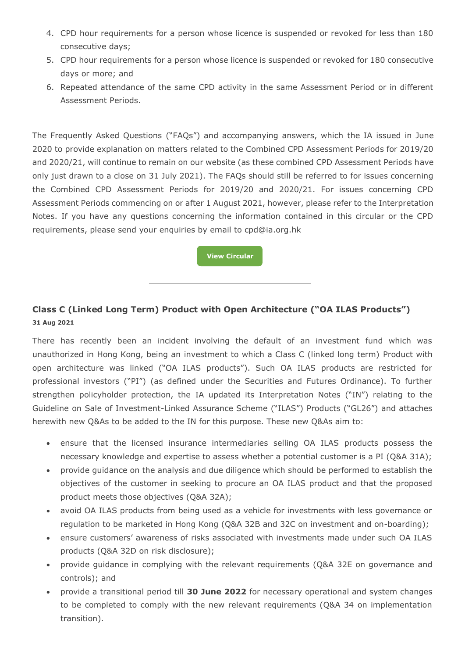- 4. CPD hour requirements for a person whose licence is suspended or revoked for less than 180 consecutive days;
- 5. CPD hour requirements for a person whose licence is suspended or revoked for 180 consecutive days or more; and
- 6. Repeated attendance of the same CPD activity in the same Assessment Period or in different Assessment Periods.

The Frequently Asked Questions ("FAQs") and accompanying answers, which the IA issued in June 2020 to provide explanation on matters related to the Combined CPD Assessment Periods for 2019/20 and 2020/21, will continue to remain on our website (as these combined CPD Assessment Periods have only just drawn to a close on 31 July 2021). The FAQs should still be referred to for issues concerning the Combined CPD Assessment Periods for 2019/20 and 2020/21. For issues concerning CPD Assessment Periods commencing on or after 1 August 2021, however, please refer to the Interpretation Notes. If you have any questions concerning the information contained in this circular or the CPD requirements, please send your enquiries by email to cpd@ia.org.hk

**[View Circular](https://www.ia.org.hk/en/legislative_framework/circulars/reg_matters/files/Circular_Interpretation_Notes.pdf)**

## **Class C (Linked Long Term) Product with Open Architecture ("OA ILAS Products") 31 Aug 2021**

There has recently been an incident involving the default of an investment fund which was unauthorized in Hong Kong, being an investment to which a Class C (linked long term) Product with open architecture was linked ("OA ILAS products"). Such OA ILAS products are restricted for professional investors ("PI") (as defined under the Securities and Futures Ordinance). To further strengthen policyholder protection, the IA updated its Interpretation Notes ("IN") relating to the Guideline on Sale of Investment-Linked Assurance Scheme ("ILAS") Products ("GL26") and attaches herewith new Q&As to be added to the IN for this purpose. These new Q&As aim to:

- ensure that the licensed insurance intermediaries selling OA ILAS products possess the necessary knowledge and expertise to assess whether a potential customer is a PI (Q&A 31A);
- provide guidance on the analysis and due diligence which should be performed to establish the objectives of the customer in seeking to procure an OA ILAS product and that the proposed product meets those objectives (Q&A 32A);
- avoid OA ILAS products from being used as a vehicle for investments with less governance or regulation to be marketed in Hong Kong (Q&A 32B and 32C on investment and on-boarding);
- ensure customers' awareness of risks associated with investments made under such OA ILAS products (Q&A 32D on risk disclosure);
- provide guidance in complying with the relevant requirements (Q&A 32E on governance and controls); and
- provide a transitional period till **30 June 2022** for necessary operational and system changes to be completed to comply with the new relevant requirements (Q&A 34 on implementation transition).